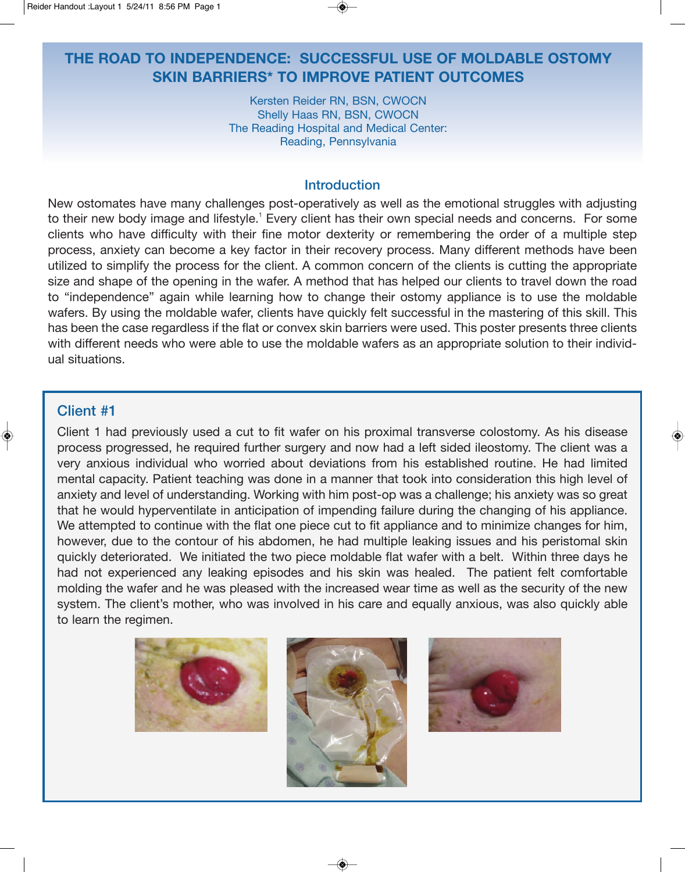# **THE ROAD TO INDEPENDENCE: SUCCESSFUL USE OF MOLDABLE OSTOMY SKIN BARRIERS\* TO IMPROVE PATIENT OUTCOMES**

Kersten Reider RN, BSN, CWOCN Shelly Haas RN, BSN, CWOCN The Reading Hospital and Medical Center: Reading, Pennsylvania

### Introduction

New ostomates have many challenges post-operatively as well as the emotional struggles with adjusting to their new body image and lifestyle.<sup>1</sup> Every client has their own special needs and concerns. For some clients who have difficulty with their fine motor dexterity or remembering the order of a multiple step process, anxiety can become a key factor in their recovery process. Many different methods have been utilized to simplify the process for the client. A common concern of the clients is cutting the appropriate size and shape of the opening in the wafer. A method that has helped our clients to travel down the road to "independence" again while learning how to change their ostomy appliance is to use the moldable wafers. By using the moldable wafer, clients have quickly felt successful in the mastering of this skill. This has been the case regardless if the flat or convex skin barriers were used. This poster presents three clients with different needs who were able to use the moldable wafers as an appropriate solution to their individual situations.

### Client #1

Client 1 had previously used a cut to fit wafer on his proximal transverse colostomy. As his disease process progressed, he required further surgery and now had a left sided ileostomy. The client was a very anxious individual who worried about deviations from his established routine. He had limited mental capacity. Patient teaching was done in a manner that took into consideration this high level of anxiety and level of understanding. Working with him post-op was a challenge; his anxiety was so great that he would hyperventilate in anticipation of impending failure during the changing of his appliance. We attempted to continue with the flat one piece cut to fit appliance and to minimize changes for him, however, due to the contour of his abdomen, he had multiple leaking issues and his peristomal skin quickly deteriorated. We initiated the two piece moldable flat wafer with a belt. Within three days he had not experienced any leaking episodes and his skin was healed. The patient felt comfortable molding the wafer and he was pleased with the increased wear time as well as the security of the new system. The client's mother, who was involved in his care and equally anxious, was also quickly able to learn the regimen.